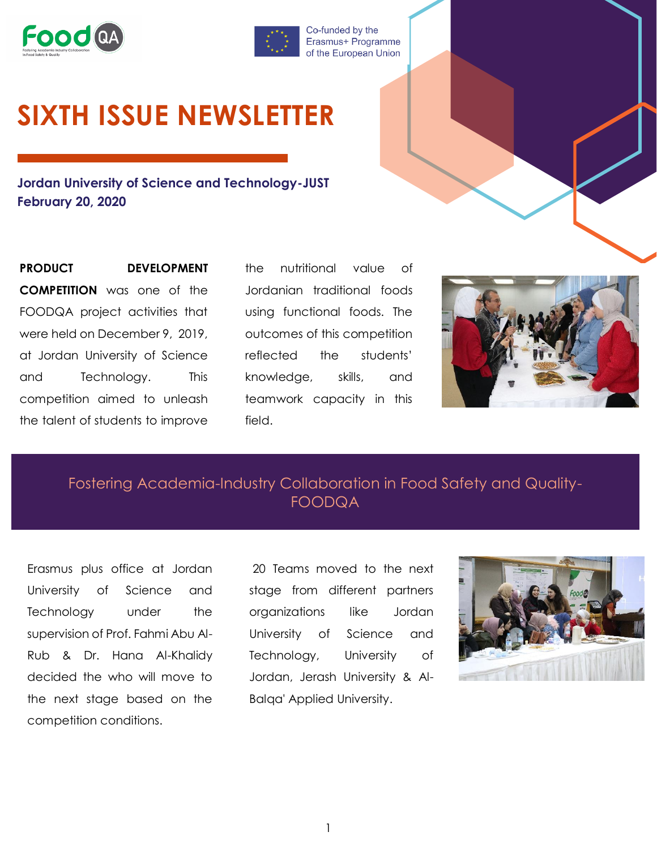



Co-funded by the Erasmus+ Programme of the European Union

## **SIXTH ISSUE NEWSLETTER**

**Jordan University of Science and Technology-JUST February 20, 2020**

**PRODUCT DEVELOPMENT COMPETITION** was one of the FOODQA project activities that were held on December 9, 2019, at Jordan University of Science and Technology. This competition aimed to unleash the talent of students to improve

the nutritional value of Jordanian traditional foods using functional foods. The outcomes of this competition reflected the students' knowledge, skills, and teamwork capacity in this field.



Fostering Academia-Industry Collaboration in Food Safety and Quality-FOODQA

Erasmus plus office at Jordan University of Science and Technology under the supervision of Prof. Fahmi Abu Al-Rub & Dr. Hana Al-Khalidy decided the who will move to the next stage based on the competition conditions.

20 Teams moved to the next stage from different partners organizations like Jordan University of Science and Technology, University of Jordan, Jerash University & Al-Balqa' Applied University.